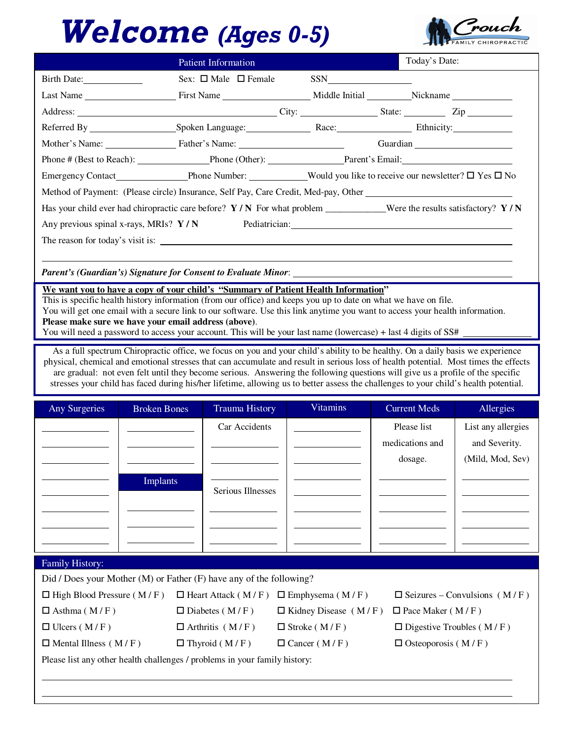## Welcome (Ages 0-5)



|                                                                                                                          | Patient Information            |  | Today's Date: |
|--------------------------------------------------------------------------------------------------------------------------|--------------------------------|--|---------------|
| Birth Date:                                                                                                              | Sex: $\Box$ Male $\Box$ Female |  |               |
|                                                                                                                          |                                |  |               |
| Address: City: City: City: State: Zip Zip                                                                                |                                |  |               |
|                                                                                                                          |                                |  |               |
| Mother's Name: Father's Name: Name:                                                                                      |                                |  |               |
| Phone # (Best to Reach): Phone (Other): Parent's Email: Parent's Email:                                                  |                                |  |               |
| Emergency Contact Phone Number: Would you like to receive our newsletter? $\square$ Yes $\square$ No                     |                                |  |               |
|                                                                                                                          |                                |  |               |
| Has your child ever had chiropractic care before? $Y/N$ For what problem ___________Were the results satisfactory? $Y/N$ |                                |  |               |
| Any previous spinal x-rays, MRIs? $Y/N$ Pediatrician:                                                                    |                                |  |               |
|                                                                                                                          |                                |  |               |
|                                                                                                                          |                                |  |               |

*Parent's (Guardian's) Signature for Consent to Evaluate Minor*:

**We want you to have a copy of your child's "Summary of Patient Health Information"**

This is specific health history information (from our office) and keeps you up to date on what we have on file. You will get one email with a secure link to our software. Use this link anytime you want to access your health information. **Please make sure we have your email address (above)**.

You will need a password to access your account. This will be your last name (lowercase) + last 4 digits of SS#

As a full spectrum Chiropractic office, we focus on you and your child's ability to be healthy. On a daily basis we experience physical, chemical and emotional stresses that can accumulate and result in serious loss of health potential. Most times the effects are gradual: not even felt until they become serious. Answering the following questions will give us a profile of the specific stresses your child has faced during his/her lifetime, allowing us to better assess the challenges to your child's health potential.

| Any Surgeries | <b>Broken Bones</b> | <b>Trauma History</b> | <b>Vitamins</b> | <b>Current Meds</b> | Allergies          |  |
|---------------|---------------------|-----------------------|-----------------|---------------------|--------------------|--|
|               |                     | Car Accidents         |                 | Please list         | List any allergies |  |
|               |                     |                       |                 | medications and     | and Severity.      |  |
|               |                     |                       |                 | dosage.             | (Mild, Mod, Sev)   |  |
|               | <b>Implants</b>     |                       |                 |                     |                    |  |
|               |                     | Serious Illnesses     |                 |                     |                    |  |
|               |                     |                       |                 |                     |                    |  |
|               |                     |                       |                 |                     |                    |  |
|               |                     |                       |                 |                     |                    |  |

## Family History:

l l

Did / Does your Mother (M) or Father (F) have any of the following?

| $\Box$ High Blood Pressure (M/F)                                                                     | $\Box$ Heart Attack (M/F) $\Box$ Emphysema (M/F) |                                                     | $\Box$ Seizures – Convulsions (M/F) |
|------------------------------------------------------------------------------------------------------|--------------------------------------------------|-----------------------------------------------------|-------------------------------------|
| $\Box$ Asthma (M/F)                                                                                  | $\Box$ Diabetes (M/F)                            | $\Box$ Kidney Disease (M/F) $\Box$ Pace Maker (M/F) |                                     |
| $\Box$ Ulcers (M/F)                                                                                  | $\Box$ Arthritis (M/F)                           | $\Box$ Stroke (M/F)                                 | $\Box$ Digestive Troubles (M/F)     |
| $\Box$ Mental Illness (M/F)                                                                          | $\Box$ Thyroid (M/F)                             | $\Box$ Cancer (M/F)                                 | $\Box$ Osteoporosis (M/F)           |
| . ۱۹ الم العام العام العام العام العام العام العام العام العام العام العام العام العام العام العام ا |                                                  |                                                     |                                     |

Please list any other health challenges / problems in your family history: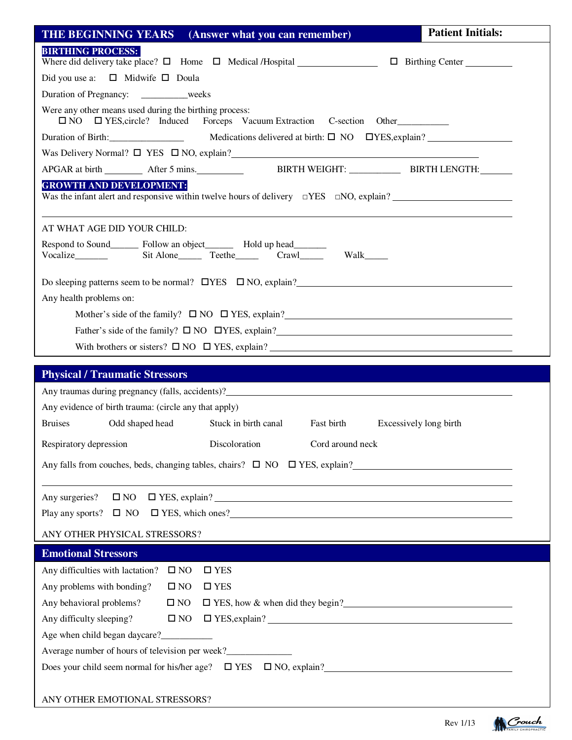| <b>THE BEGINNING YEARS</b> (Answer what you can remember)                                                                                  | <b>Patient Initials:</b> |
|--------------------------------------------------------------------------------------------------------------------------------------------|--------------------------|
| <b>BIRTHING PROCESS:</b><br>Where did delivery take place? $\Box$ Home $\Box$ Medical /Hospital $\Box$ $\Box$ Birthing Center              |                          |
| Did you use a: $\Box$ Midwife $\Box$ Doula                                                                                                 |                          |
| Duration of Pregnancy: __________weeks                                                                                                     |                          |
| Were any other means used during the birthing process:<br>□ NO □ YES, circle? Induced Forceps Vacuum Extraction C-section Other            |                          |
| Duration of Birth: <u>_______________</u> Medications delivered at birth: □ NO □YES, explain? _______________________                      |                          |
| Was Delivery Normal? $\Box$ YES $\Box$ NO, explain?                                                                                        |                          |
|                                                                                                                                            |                          |
| <b>GROWTH AND DEVELOPMENT:</b><br>Was the infant alert and responsive within twelve hours of delivery $\square$ YES $\square$ NO, explain? |                          |
| AT WHAT AGE DID YOUR CHILD:                                                                                                                |                          |
| Respond to Sound_________ Follow an object__________ Hold up head_________<br>Walk______                                                   |                          |
|                                                                                                                                            |                          |
| Do sleeping patterns seem to be normal? $\Box$ YES $\Box$ NO, explain?                                                                     |                          |
| Any health problems on:                                                                                                                    |                          |
| Mother's side of the family? $\Box$ NO $\Box$ YES, explain?                                                                                |                          |
| Father's side of the family? $\square$ NO $\square$ YES, explain?                                                                          |                          |
| With brothers or sisters? $\square$ NO $\square$ YES, explain?                                                                             |                          |
|                                                                                                                                            |                          |
|                                                                                                                                            |                          |
| <b>Physical / Traumatic Stressors</b><br>Any traumas during pregnancy (falls, accidents)?                                                  |                          |
| Any evidence of birth trauma: (circle any that apply)                                                                                      |                          |
| <b>Bruises</b><br>Odd shaped head<br>Stuck in birth canal Fast birth Excessively long birth                                                |                          |
| Respiratory depression Discoloration Cord around neck                                                                                      |                          |
|                                                                                                                                            |                          |
| Any falls from couches, beds, changing tables, chairs? $\Box$ NO $\Box$ YES, explain?                                                      |                          |
| Any surgeries?                                                                                                                             |                          |
| $\Box$ NO $\Box$ YES, explain?                                                                                                             |                          |
| Play any sports? $\Box$ NO $\Box$ YES, which ones?                                                                                         |                          |
| ANY OTHER PHYSICAL STRESSORS?                                                                                                              |                          |
| <b>Emotional Stressors</b>                                                                                                                 |                          |
| Any difficulties with lactation? $\square$ NO<br>$\square$ YES                                                                             |                          |
| Any problems with bonding?<br>$\square$ NO<br>$\square$ YES                                                                                |                          |
| Any behavioral problems?<br>$\square$ NO<br>□ YES, how & when did they begin?                                                              |                          |
| Any difficulty sleeping?<br>$\square$ NO                                                                                                   |                          |
|                                                                                                                                            |                          |
| Average number of hours of television per week?__________________________________                                                          |                          |
| Does your child seem normal for his/her age? $\square$ YES $\square$ NO, explain?                                                          |                          |